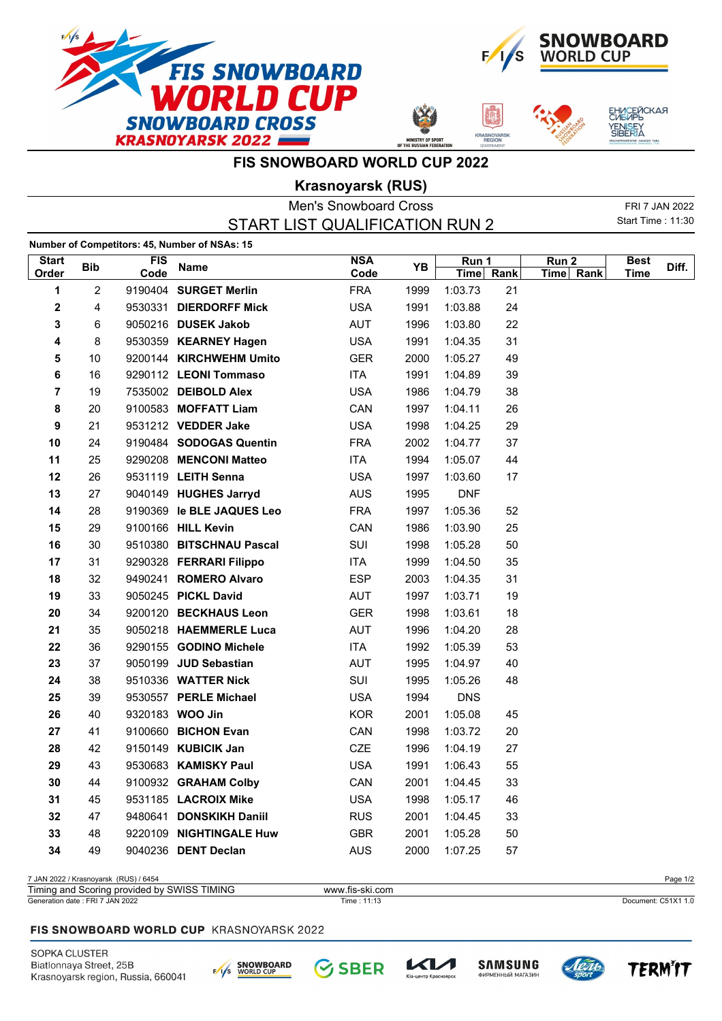



**ASNOYAR**<br>REGION

ЕНИСЕЙСКАЯ<br>СИБИРЬ

YENI<mark>S</mark>EY<br>SIBERIA

**FIS SNOWBOARD WORLD CUP 2022**

**Krasnoyarsk (RUS)**

|              |                |         |                                               | <b>Men's Snowboard Cross</b>   |      |             |      |           |                   | FRI 7 JAN 2022 |
|--------------|----------------|---------|-----------------------------------------------|--------------------------------|------|-------------|------|-----------|-------------------|----------------|
|              |                |         |                                               | START LIST QUALIFICATION RUN 2 |      |             |      |           | Start Time: 11:30 |                |
|              |                |         | Number of Competitors: 45, Number of NSAs: 15 |                                |      |             |      |           |                   |                |
| <b>Start</b> | <b>Bib</b>     | FIS     | <b>Name</b>                                   | <b>NSA</b>                     | YB   | Run 1       |      | Run 2     | <b>Best</b>       | Diff.          |
| Order        |                | Code    |                                               | Code                           |      | <b>Time</b> | Rank | Time Rank | <b>Time</b>       |                |
| 1            | $\overline{2}$ |         | 9190404 SURGET Merlin                         | <b>FRA</b>                     | 1999 | 1:03.73     | 21   |           |                   |                |
| 2            | 4              | 9530331 | <b>DIERDORFF Mick</b>                         | <b>USA</b>                     | 1991 | 1:03.88     | 24   |           |                   |                |
| 3            | 6              |         | 9050216 DUSEK Jakob                           | <b>AUT</b>                     | 1996 | 1:03.80     | 22   |           |                   |                |
| 4            | 8              |         | 9530359 KEARNEY Hagen                         | <b>USA</b>                     | 1991 | 1:04.35     | 31   |           |                   |                |
| 5            | 10             |         | 9200144 KIRCHWEHM Umito                       | <b>GER</b>                     | 2000 | 1:05.27     | 49   |           |                   |                |
| 6            | 16             |         | 9290112 LEONI Tommaso                         | <b>ITA</b>                     | 1991 | 1:04.89     | 39   |           |                   |                |
| 7            | 19             |         | 7535002 DEIBOLD Alex                          | <b>USA</b>                     | 1986 | 1:04.79     | 38   |           |                   |                |
| 8            | 20             |         | 9100583 MOFFATT Liam                          | CAN                            | 1997 | 1:04.11     | 26   |           |                   |                |
| 9            | 21             |         | 9531212 VEDDER Jake                           | <b>USA</b>                     | 1998 | 1:04.25     | 29   |           |                   |                |
| 10           | 24             |         | 9190484 SODOGAS Quentin                       | <b>FRA</b>                     | 2002 | 1:04.77     | 37   |           |                   |                |
| 11           | 25             |         | 9290208 MENCONI Matteo                        | <b>ITA</b>                     | 1994 | 1:05.07     | 44   |           |                   |                |
| 12           | 26             |         | 9531119 LEITH Senna                           | <b>USA</b>                     | 1997 | 1:03.60     | 17   |           |                   |                |
| 13           | 27             |         | 9040149 HUGHES Jarryd                         | <b>AUS</b>                     | 1995 | <b>DNF</b>  |      |           |                   |                |
| 14           | 28             |         | 9190369 le BLE JAQUES Leo                     | <b>FRA</b>                     | 1997 | 1:05.36     | 52   |           |                   |                |
| 15           | 29             |         | 9100166 HILL Kevin                            | CAN                            | 1986 | 1:03.90     | 25   |           |                   |                |
| 16           | 30             |         | 9510380 BITSCHNAU Pascal                      | SUI                            | 1998 | 1:05.28     | 50   |           |                   |                |
| 17           | 31             |         | 9290328 FERRARI Filippo                       | ITA                            | 1999 | 1:04.50     | 35   |           |                   |                |
| 18           | 32             |         | 9490241 ROMERO Alvaro                         | <b>ESP</b>                     | 2003 | 1:04.35     | 31   |           |                   |                |
| 19           | 33             |         | 9050245 PICKL David                           | <b>AUT</b>                     | 1997 | 1:03.71     | 19   |           |                   |                |
| 20           | 34             |         | 9200120 BECKHAUS Leon                         | <b>GER</b>                     | 1998 | 1:03.61     | 18   |           |                   |                |
| 21           | 35             |         | 9050218 HAEMMERLE Luca                        | <b>AUT</b>                     | 1996 | 1:04.20     | 28   |           |                   |                |
| 22           | 36             |         | 9290155 GODINO Michele                        | <b>ITA</b>                     | 1992 | 1:05.39     | 53   |           |                   |                |
| 23           | 37             |         | 9050199 JUD Sebastian                         | AUT                            | 1995 | 1:04.97     | 40   |           |                   |                |
| 24           | 38             |         | 9510336 WATTER Nick                           | SUI                            | 1995 | 1:05.26     | 48   |           |                   |                |
| 25           | 39             |         | 9530557 PERLE Michael                         | <b>USA</b>                     | 1994 | <b>DNS</b>  |      |           |                   |                |
| 26           | 40             |         | 9320183 WOO Jin                               | <b>KOR</b>                     | 2001 | 1:05.08     | 45   |           |                   |                |
| 27           | 41             |         | 9100660 BICHON Evan                           | CAN                            | 1998 | 1:03.72     | 20   |           |                   |                |
| 28           | 42             |         | 9150149 KUBICIK Jan                           | CZE                            | 1996 | 1:04.19     | 27   |           |                   |                |
| 29           | 43             |         | 9530683 KAMISKY Paul                          | <b>USA</b>                     | 1991 | 1:06.43     | 55   |           |                   |                |
| 30           | 44             |         | 9100932 GRAHAM Colby                          | CAN                            | 2001 | 1:04.45     | 33   |           |                   |                |
| 31           | 45             |         | 9531185 LACROIX Mike                          | <b>USA</b>                     | 1998 | 1:05.17     | 46   |           |                   |                |
| 32           | 47             |         | 9480641 DONSKIKH Daniil                       | <b>RUS</b>                     | 2001 | 1:04.45     | 33   |           |                   |                |
| 33           | 48             |         | 9220109 NIGHTINGALE Huw                       | GBR                            | 2001 | 1:05.28     | 50   |           |                   |                |
| 34           | 49             |         | 9040236 DENT Declan                           | <b>AUS</b>                     | 2000 | 1:07.25     | 57   |           |                   |                |
|              |                |         |                                               |                                |      |             |      |           |                   |                |

7 JAN 2022 / Krasnoyarsk (RUS) / 6454 Page 1/2

| Timing and<br><b>TIMING</b><br><b>SWISS</b><br>Scoring provided<br>. bv | www.fis-ski.com |                     |
|-------------------------------------------------------------------------|-----------------|---------------------|
| <sup>7</sup> JAN 2022<br>Generation date: FRI                           | Time :<br>. 0   | Document: C51X1 1.0 |

#### FIS SNOWBOARD WORLD CUP KRASNOYARSK 2022

SOPKA CLUSTER Biatlonnaya Street, 25B Krasnoyarsk region, Russia, 660041